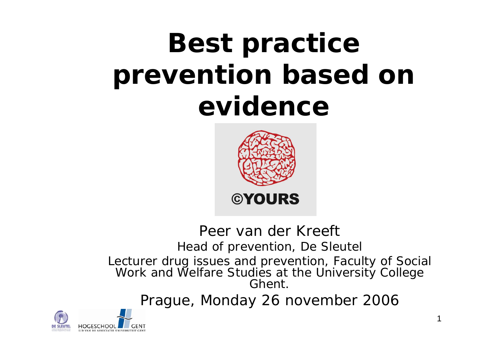# **Best practice prevention based on evidence**



#### Peer van der KreeftHead of prevention, De Sleutel Lecturer drug issues and prevention, Faculty of Social Work and Welfare Studies at the University College Ghent.

Prague, Monday 26 november 2006

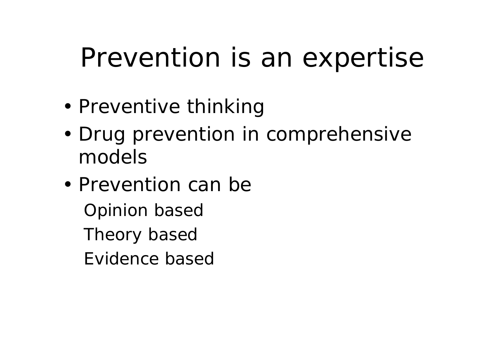## Prevention is an expertise

- •Preventive thinking
- • Drug prevention in comprehensive models
- Prevention can beOpinion based Theory based Evidence based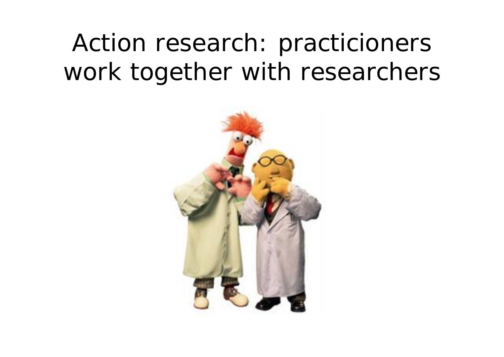### Action research: practicioners work together with researchers

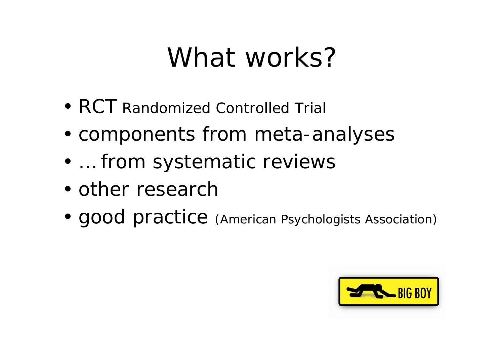## What works?

- RCT Randomized Controlled Trial
- •components from *meta-analyses*
- •… from *systematic reviews*
- other research
- •good practice (American Psychologists Association)

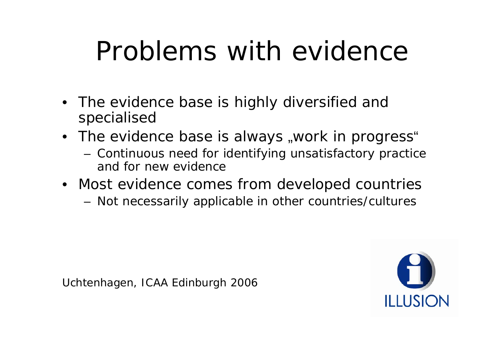# Problems with evidence

- The evidence base is highly diversified and specialised
- The evidence base is always "work in progress"
	- Continuous need for identifying unsatisfactory practice and for new evidence
- Most evidence comes from developed countries
	- Not necessarily applicable in other countries/cultures

Uchtenhagen, ICAA Edinburgh 2006

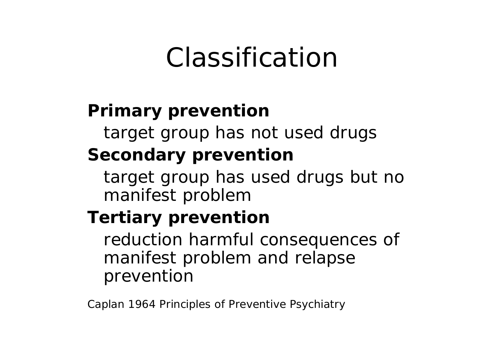## Classification

#### **Primary prevention**

target group has not used drugs

#### **Secondary prevention**

target group has used drugs but no manifest problem

#### **Tertiary prevention**

reduction harmful consequences of manifest problem and relapse prevention

Caplan 1964 Principles of Preventive Psychiatry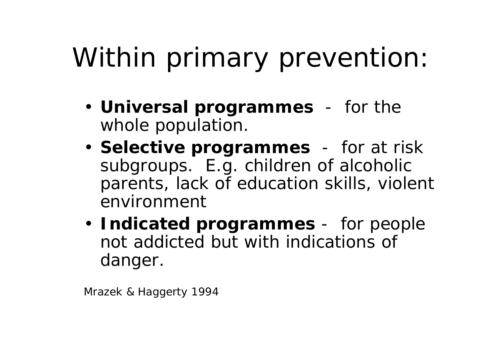# Within primary prevention:

- **Universal programmes** for the whole population.
- **Selective programmes** for *at risk*  subgroups. E.g. children of alcoholic parents, lack of education skills, violent environment
- **Indicated programmes** for people not addicted but with indications of danger.

Mrazek & Haggerty 1994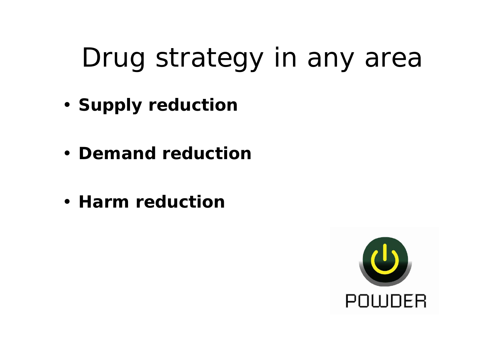# Drug strategy in any area

- **Supply reduction**
- **Demand reduction**
- **Harm reduction**

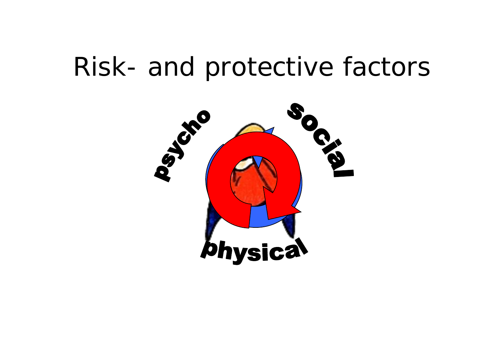#### Risk- and protective factors

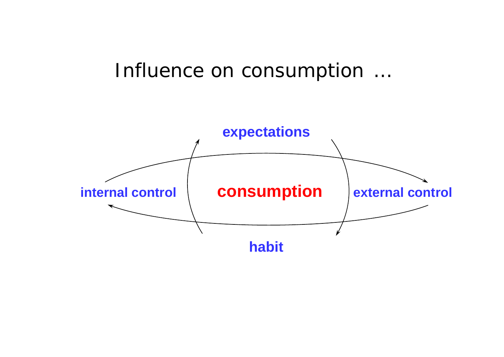#### Influence on consumption …

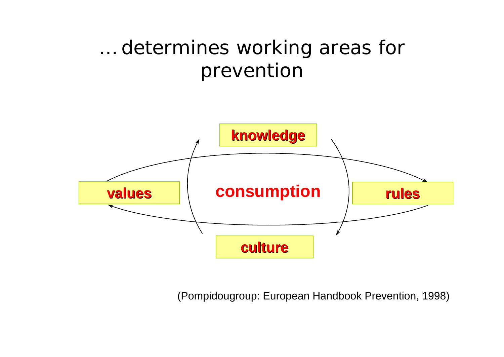#### … determines working areas for prevention



(Pompidougroup: European Handbook Prevention, 1998)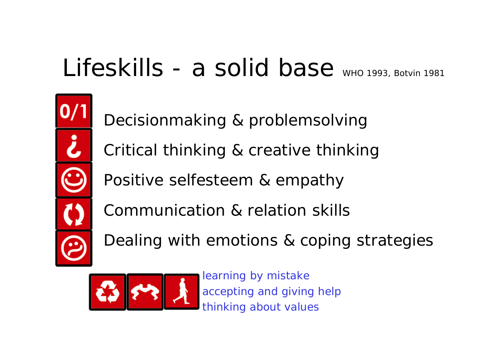### Lifeskills - a solid base WHO 1993, Botvin 1981

Decisionmaking & problemsolving Critical thinking & creative thinking Positive selfesteem & empathy Communication & relation skills

Dealing with emotions & coping strategies



learning by mistake accepting and giving help thinking about values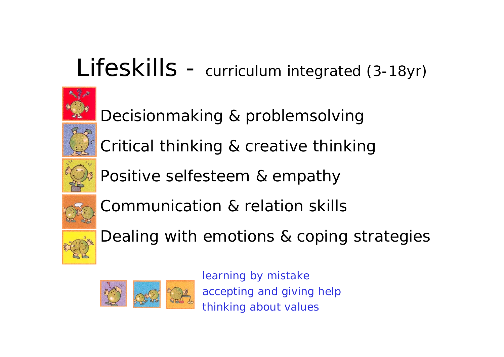#### Lifeskills - curriculum integrated (3-18yr)



Decisionmaking & problemsolving Critical thinking & creative thinking



Positive selfesteem & empathy



Communication & relation skills



Dealing with emotions & coping strategies



learning by mistake accepting and giving help thinking about values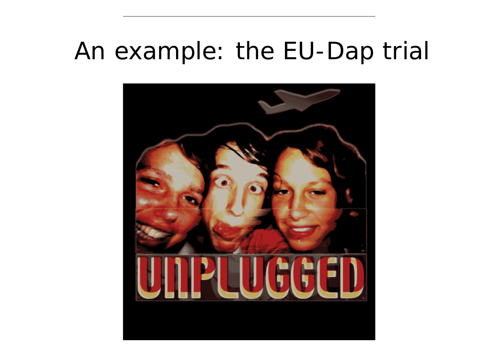#### An example: the EU-Dap trial

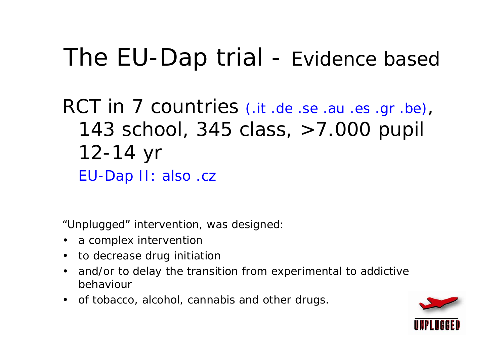### The EU-Dap trial - Evidence based

#### RCT in 7 countries (.it .de .se .au .es .gr .be), 143 school, 345 class, >7.000 pupil 12-14 yr EU-Dap II: also .cz

"Unplugged" intervention, was designed:

- a complex intervention
- to decrease drug initiation
- $\bullet$  and/or to delay the transition from experimental to addictive behaviour
- of tobacco, alcohol, cannabis and other drugs.

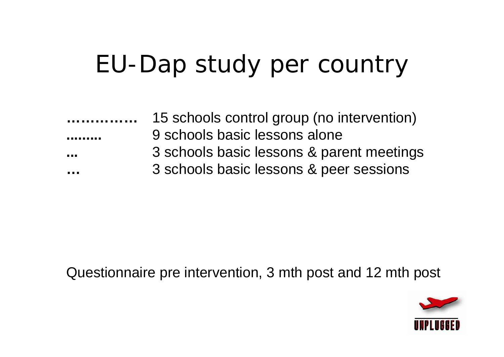### EU-Dap study per country

| .                         | 15 schools control group (no intervention) |  |
|---------------------------|--------------------------------------------|--|
| ---------                 | 9 schools basic lessons alone              |  |
| .                         | 3 schools basic lessons & parent meetings  |  |
| <b><i><u>ALCO</u></i></b> | 3 schools basic lessons & peer sessions    |  |
|                           |                                            |  |

#### Questionnaire pre intervention, 3 mth post and 12 mth post

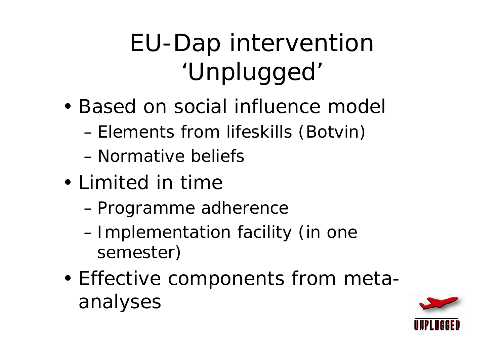## EU-Dap intervention 'Unplugged'

- Based on social influence model
	- –Elements from lifeskills (Botvin)
	- Normative beliefs
- Limited in time
	- –*Programme adherence*
	- – Implementation facility (in one semester)
- • Effective components from metaanalyses

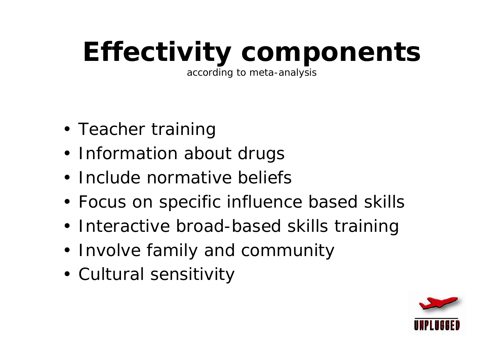# **Effectivity components**

according to meta-analysis

- Teacher training
- Information about drugs
- Include normative beliefs
- Focus on specific influence based skills
- Interactive broad-based skills training
- Involve family and community
- Cultural sensitivity

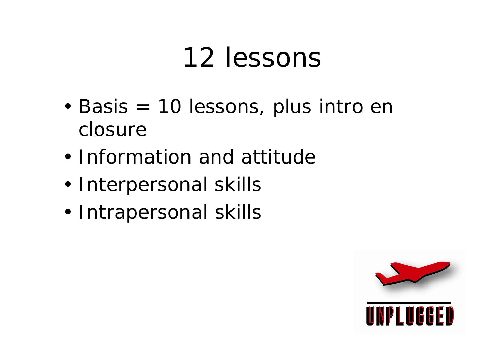## 12 lessons

- • Basis = 10 lessons, plus intro en closure
- Information and attitude
- •Interpersonal skills
- •Intrapersonal skills

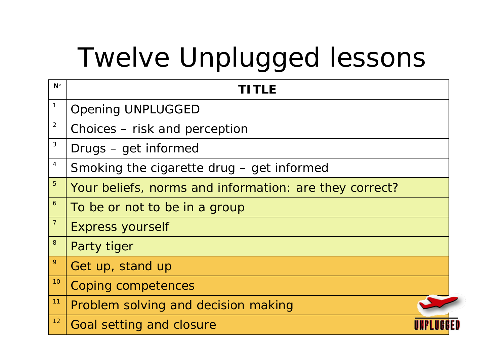# Twelve Unplugged lessons

| $N^{\circ}$      | TITLE                                                  |  |
|------------------|--------------------------------------------------------|--|
| 1                | <b>Opening UNPLUGGED</b>                               |  |
| $\overline{2}$   | Choices – risk and perception                          |  |
| $\sqrt{3}$       | Drugs – get informed                                   |  |
| $\overline{4}$   | Smoking the cigarette drug - get informed              |  |
| $\overline{5}$   | Your beliefs, norms and information: are they correct? |  |
| $\overline{6}$   | To be or not to be in a group                          |  |
| $\overline{7}$   | <b>Express yourself</b>                                |  |
| $\boldsymbol{8}$ | Party tiger                                            |  |
| $\overline{9}$   | Get up, stand up                                       |  |
| 10               | <b>Coping competences</b>                              |  |
| 11               | Problem solving and decision making                    |  |
| 12               | Goal setting and closure                               |  |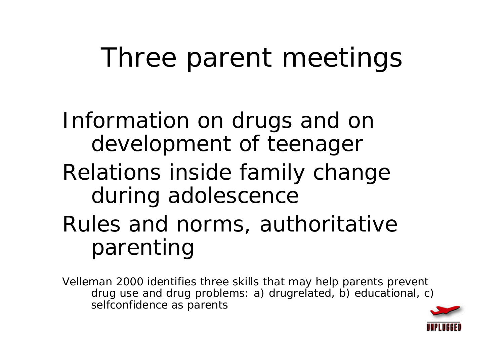# Three parent meetings

Information on drugs and on development of teenager Relations inside family change during adolescence Rules and norms, *authoritative*  parenting

Velleman 2000 identifies three skills that may help parents prevent drug use and drug problems: a) drugrelated, b) educational, c) selfconfidence as parents

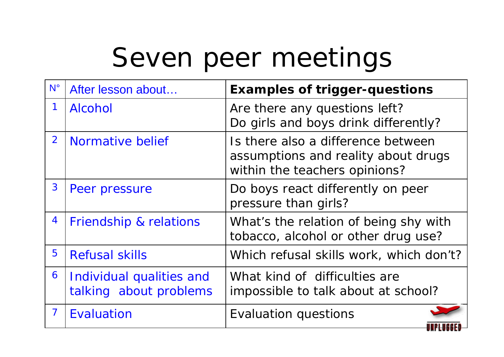## Seven peer meetings

| $N^{\circ}$              | After lesson about                                 | <b>Examples of trigger-questions</b>                                                                       |
|--------------------------|----------------------------------------------------|------------------------------------------------------------------------------------------------------------|
| 1                        | <b>Alcohol</b>                                     | Are there any questions left?<br>Do girls and boys drink differently?                                      |
| $\overline{2}$           | Normative belief                                   | Is there also a difference between<br>assumptions and reality about drugs<br>within the teachers opinions? |
| 3                        | Peer pressure                                      | Do boys react differently on peer<br>pressure than girls?                                                  |
| 4                        | Friendship & relations                             | What's the relation of being shy with<br>tobacco, alcohol or other drug use?                               |
| 5                        | <b>Refusal skills</b>                              | Which refusal skills work, which don't?                                                                    |
| 6                        | Individual qualities and<br>talking about problems | What kind of difficulties are<br>impossible to talk about at school?                                       |
| $\overline{\phantom{a}}$ | Evaluation                                         | <b>Evaluation questions</b>                                                                                |

. . . . **.** . .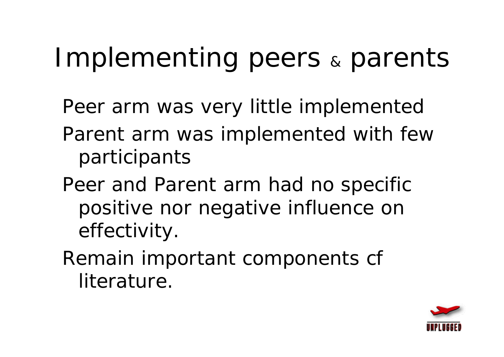#### Implementing peers  $\&$ parents

- Peer arm was very little implemented
- Parent arm was implemented with few participants
- Peer and Parent arm had no specific positive nor negative influence on effectivity.
- Remain important components cf literature.

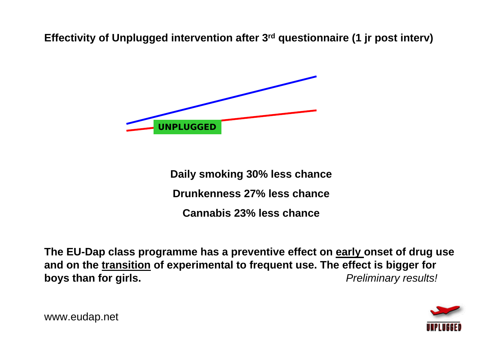**Effectivity of Unplugged intervention after 3rd questionnaire (1 jr post interv)** 



**Daily smoking 30% less chance Drunkenness 27% less chanceCannabis 23% less chance**

**The EU-Dap class programme has a preventive effect on early onset of drug use and on the transition of experimental to frequent use. The effect is bigger for boys than for girls.** *boys than for girls. Preliminary results!* 



www.eudap.net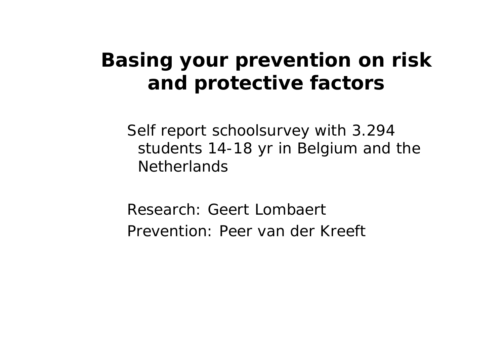#### **Basing your prevention on risk and protective factors**

Self report schoolsurvey with 3.294 students 14-18 yr in Belgium and the **Netherlands** 

Research: Geert LombaertPrevention: Peer van der Kreeft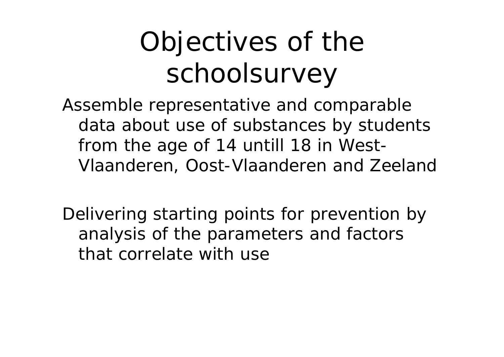# Objectives of the schoolsurvey

Assemble representative and comparable data about use of substances by students from the age of 14 untill 18 in West-Vlaanderen, Oost-Vlaanderen and Zeeland

Delivering starting points for prevention by analysis of the parameters and factors that correlate with use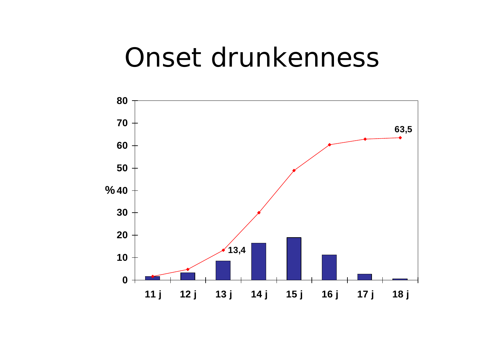#### Onset drunkenness

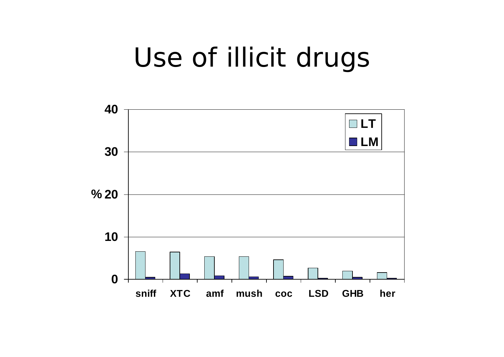## Use of illicit drugs

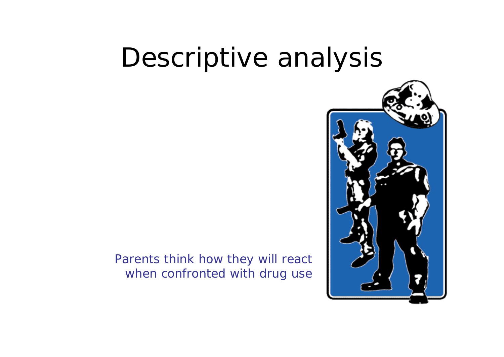### Descriptive analysis

#### Parents think how they will react when confronted with drug use

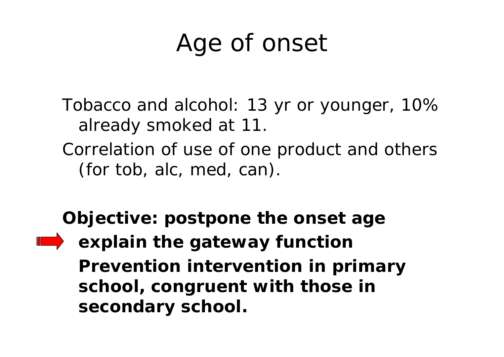#### Age of onset

Tobacco and alcohol: 13 yr or younger, 10% already smoked at 11.

Correlation of use of one product and others (for tob, alc, med, can).

**Objective: postpone the onset age explain the gateway function Prevention intervention in primary school, congruent with those in secondary school.**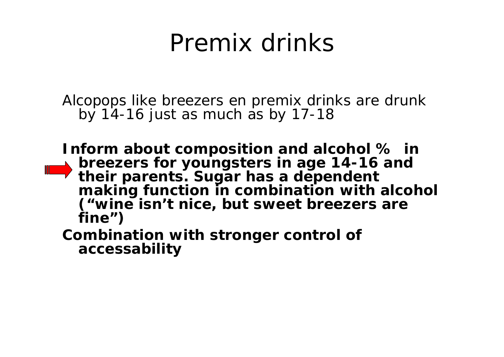#### Premix drinks

Alcopops like breezers en premix drinks are drunk by  $14-16$  just as much as by  $17-18$ 

**Inform about composition and alcohol % in breezers for youngsters in age 14-16 and their parents. Sugar has a dependent making function in combination with alcohol ("wine isn't nice, but sweet breezers are fine")**

**Combination with stronger control of accessability**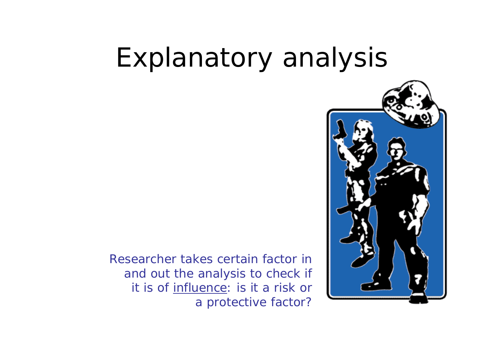## Explanatory analysis

Researcher takes certain factor in and out the analysis to check if it is of influence: is it a risk or a protective factor?

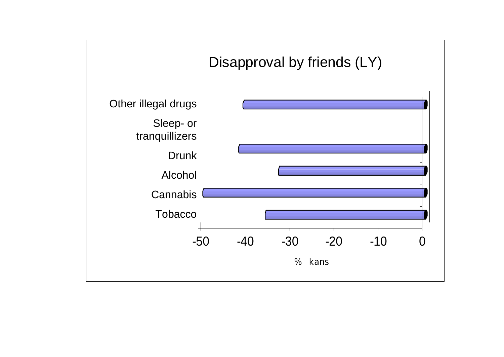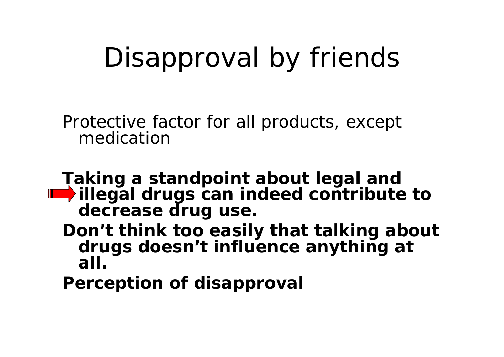# Disapproval by friends

Protective factor for all products, except medication

- **Taking a standpoint about legal and illegal drugs can indeed contribute to decrease drug use.** 
	- **Don't think too easily that** *talking about drugs doesn't influence anything at all***.**

*Perception* **of disapproval**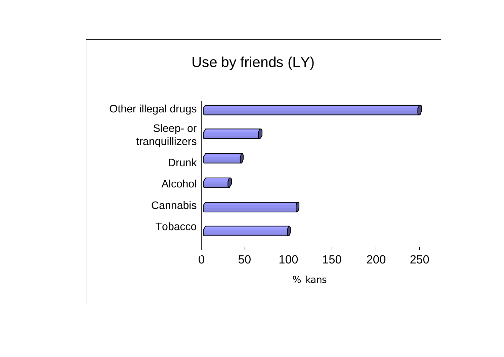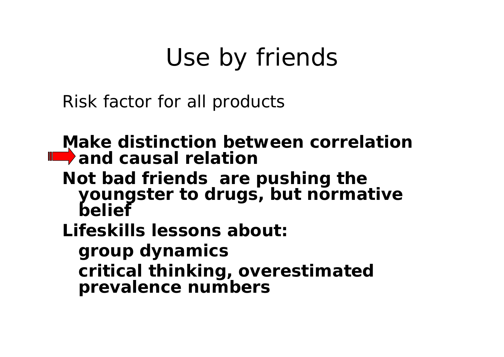## Use by friends

Risk factor for all products

**Make distinction between** *correlation* **and** *causal relation*

**Not** *bad friends* **are pushing the youngster to drugs, but** *normative belief*

**Lifeskills lessons about:** 

**group dynamics** *critical thinking,* **overestimated prevalence numbers**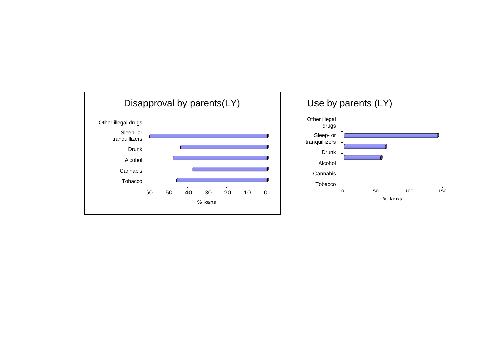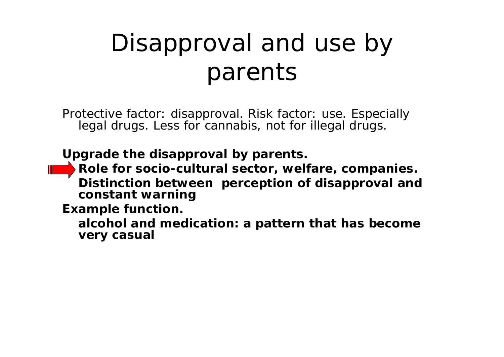### Disapproval and use by parents

Protective factor: disapproval. Risk factor: use. Especially legal drugs. Less for cannabis, not for illegal drugs.

**Upgrade the disapproval by parents.** 

**Role for socio-cultural sector, welfare, companies. Distinction between** *perception* **of disapproval and**  *constant warning*

**Example function.** 

**alcohol and medication: a pattern that has become very casual**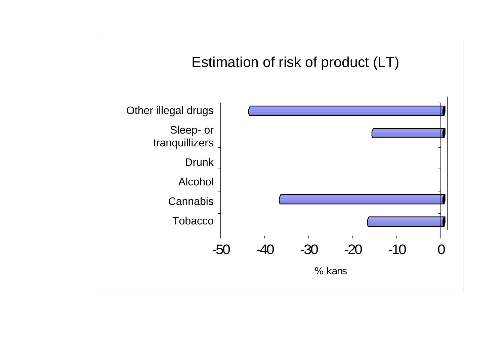#### Estimation of risk of product (LT) (Lifetime) Estimation of risk of product (LT)

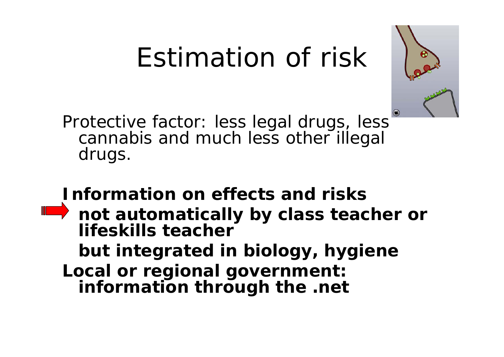# Estimation of risk



Protective factor: less legal drugs, less cannabis and much less other illegal drugs.

#### **Information on effects and risks**

**not automatically by class teacher or lifeskills teacherbut integrated in biology, hygiene Local or regional government: information through the .net**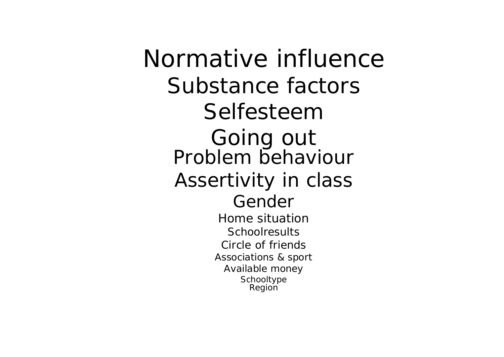Normative influenceSubstance factorsSelfesteemGoing out<br>Problem behaviour Assertivity in class GenderHome situation**Schoolresults** Circle of friendsAssociations & sport Available money Schooltype Region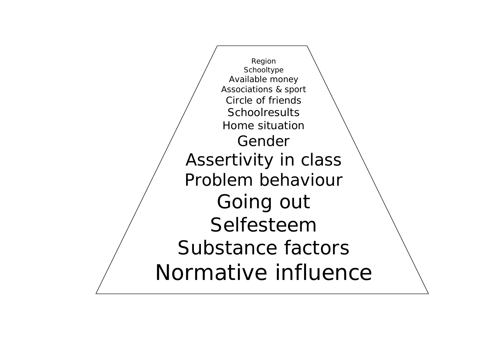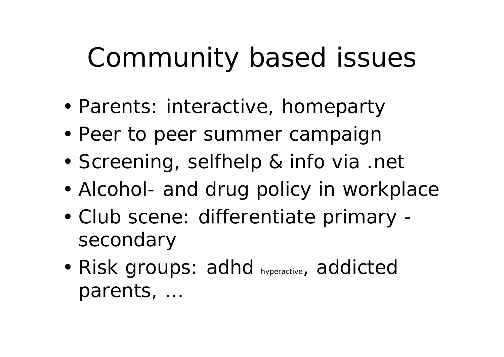# Community based issues

- •Parents: interactive, *homeparty*
- •Peer to peer summer campaign
- •Screening, selfhelp & info via .net
- •Alcohol- and drug policy in workplace
- • Club scene: differentiate primary secondary
- • Risk groups: adhd hyperactive, addicted parents, …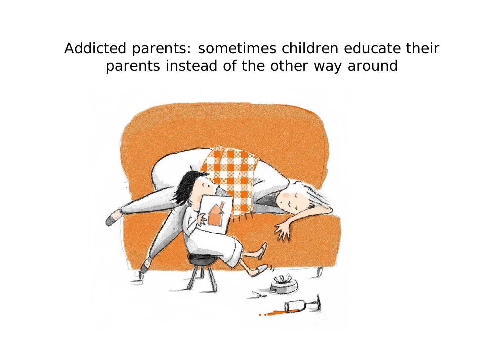*Addicted parents: sometimes children educate their parents instead of the other way around*